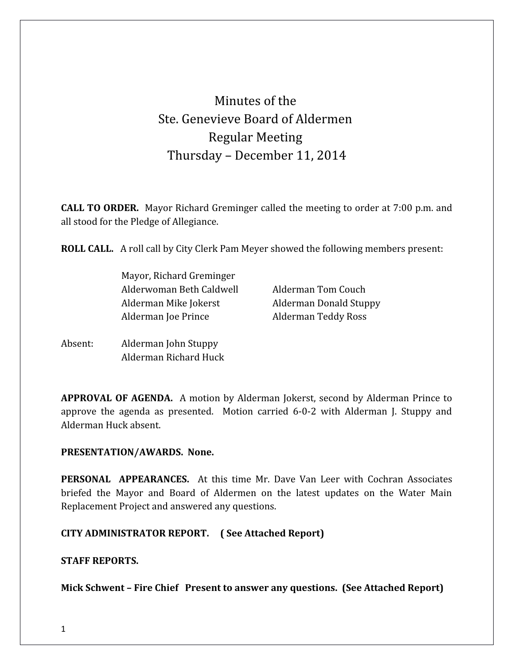# Minutes of the Ste. Genevieve Board of Aldermen Regular Meeting Thursday – December 11, 2014

**CALL TO ORDER.** Mayor Richard Greminger called the meeting to order at 7:00 p.m. and all stood for the Pledge of Allegiance.

**ROLL CALL.** A roll call by City Clerk Pam Meyer showed the following members present:

Mayor, Richard Greminger Alderwoman Beth Caldwell **Alderman Tom Couch** Alderman Mike Jokerst Alderman Donald Stuppy Alderman Joe Prince **Alderman Teddy Ross** 

Absent: Alderman John Stuppy Alderman Richard Huck

**APPROVAL OF AGENDA.** A motion by Alderman Jokerst, second by Alderman Prince to approve the agenda as presented. Motion carried 6-0-2 with Alderman J. Stuppy and Alderman Huck absent.

#### **PRESENTATION/AWARDS. None.**

**PERSONAL APPEARANCES.** At this time Mr. Dave Van Leer with Cochran Associates briefed the Mayor and Board of Aldermen on the latest updates on the Water Main Replacement Project and answered any questions.

**CITY ADMINISTRATOR REPORT. ( See Attached Report)**

#### **STAFF REPORTS.**

**Mick Schwent – Fire Chief Present to answer any questions. (See Attached Report)**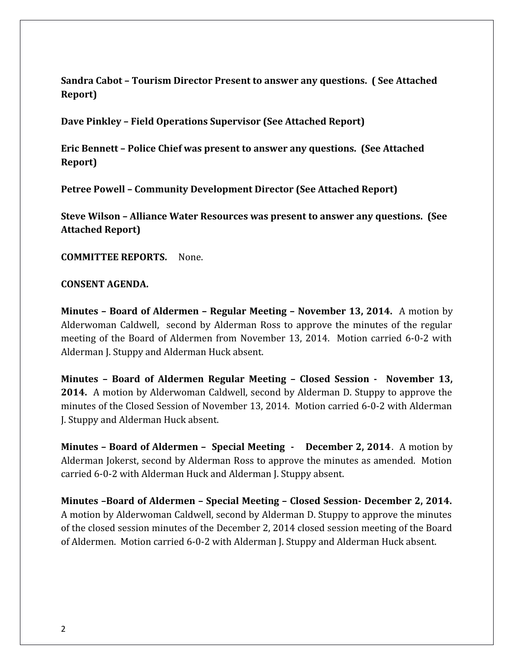**Sandra Cabot – Tourism Director Present to answer any questions. ( See Attached Report)** 

**Dave Pinkley – Field Operations Supervisor (See Attached Report)** 

**Eric Bennett – Police Chief was present to answer any questions. (See Attached Report)** 

**Petree Powell – Community Development Director (See Attached Report)** 

**Steve Wilson – Alliance Water Resources was present to answer any questions. (See Attached Report)**

**COMMITTEE REPORTS.** None.

#### **CONSENT AGENDA.**

**Minutes – Board of Aldermen – Regular Meeting – November 13, 2014.** A motion by Alderwoman Caldwell, second by Alderman Ross to approve the minutes of the regular meeting of the Board of Aldermen from November 13, 2014. Motion carried 6-0-2 with Alderman J. Stuppy and Alderman Huck absent.

**Minutes – Board of Aldermen Regular Meeting – Closed Session - November 13, 2014.** A motion by Alderwoman Caldwell, second by Alderman D. Stuppy to approve the minutes of the Closed Session of November 13, 2014. Motion carried 6-0-2 with Alderman J. Stuppy and Alderman Huck absent.

**Minutes – Board of Aldermen – Special Meeting - December 2, 2014**. A motion by Alderman Jokerst, second by Alderman Ross to approve the minutes as amended. Motion carried 6-0-2 with Alderman Huck and Alderman J. Stuppy absent.

**Minutes –Board of Aldermen – Special Meeting – Closed Session- December 2, 2014.** A motion by Alderwoman Caldwell, second by Alderman D. Stuppy to approve the minutes of the closed session minutes of the December 2, 2014 closed session meeting of the Board of Aldermen. Motion carried 6-0-2 with Alderman J. Stuppy and Alderman Huck absent.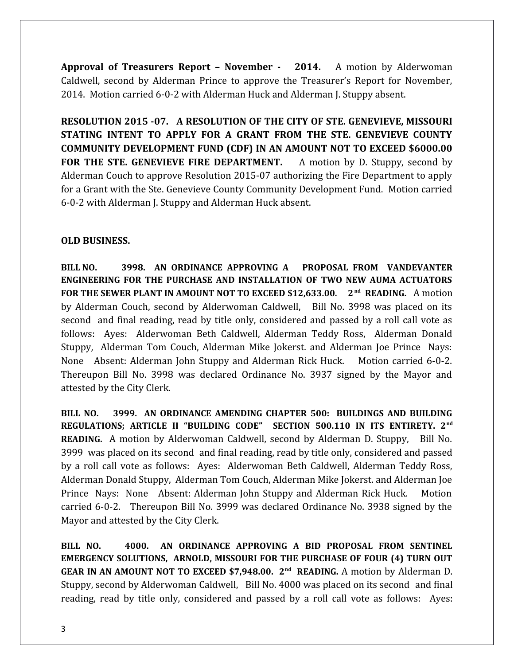**Approval of Treasurers Report – November - 2014.** A motion by Alderwoman Caldwell, second by Alderman Prince to approve the Treasurer's Report for November, 2014. Motion carried 6-0-2 with Alderman Huck and Alderman J. Stuppy absent.

**RESOLUTION 2015 -07. A RESOLUTION OF THE CITY OF STE. GENEVIEVE, MISSOURI STATING INTENT TO APPLY FOR A GRANT FROM THE STE. GENEVIEVE COUNTY COMMUNITY DEVELOPMENT FUND (CDF) IN AN AMOUNT NOT TO EXCEED \$6000.00 FOR THE STE. GENEVIEVE FIRE DEPARTMENT.** A motion by D. Stuppy, second by Alderman Couch to approve Resolution 2015-07 authorizing the Fire Department to apply for a Grant with the Ste. Genevieve County Community Development Fund. Motion carried 6-0-2 with Alderman J. Stuppy and Alderman Huck absent.

## **OLD BUSINESS.**

**BILL NO. 3998. AN ORDINANCE APPROVING A PROPOSAL FROM VANDEVANTER ENGINEERING FOR THE PURCHASE AND INSTALLATION OF TWO NEW AUMA ACTUATORS FOR THE SEWER PLANT IN AMOUNT NOT TO EXCEED \$12,633.00. 2<sup>nd</sup> READING.** A motion by Alderman Couch, second by Alderwoman Caldwell, Bill No. 3998 was placed on its second and final reading, read by title only, considered and passed by a roll call vote as follows: Ayes: Alderwoman Beth Caldwell, Alderman Teddy Ross, Alderman Donald Stuppy, Alderman Tom Couch, Alderman Mike Jokerst. and Alderman Joe Prince Nays: None Absent: Alderman John Stuppy and Alderman Rick Huck. Motion carried 6-0-2. Thereupon Bill No. 3998 was declared Ordinance No. 3937 signed by the Mayor and attested by the City Clerk.

**BILL NO. 3999. AN ORDINANCE AMENDING CHAPTER 500: BUILDINGS AND BUILDING REGULATIONS; ARTICLE II "BUILDING CODE" SECTION 500.110 IN ITS ENTIRETY. 2nd READING.** A motion by Alderwoman Caldwell, second by Alderman D. Stuppy, Bill No. 3999 was placed on its second and final reading, read by title only, considered and passed by a roll call vote as follows: Ayes: Alderwoman Beth Caldwell, Alderman Teddy Ross, Alderman Donald Stuppy, Alderman Tom Couch, Alderman Mike Jokerst. and Alderman Joe Prince Nays: None Absent: Alderman John Stuppy and Alderman Rick Huck. Motion carried 6-0-2. Thereupon Bill No. 3999 was declared Ordinance No. 3938 signed by the Mayor and attested by the City Clerk.

**BILL NO. 4000. AN ORDINANCE APPROVING A BID PROPOSAL FROM SENTINEL EMERGENCY SOLUTIONS, ARNOLD, MISSOURI FOR THE PURCHASE OF FOUR (4) TURN OUT GEAR IN AN AMOUNT NOT TO EXCEED \$7,948.00. 2nd READING.** A motion by Alderman D. Stuppy, second by Alderwoman Caldwell, Bill No. 4000 was placed on its second and final reading, read by title only, considered and passed by a roll call vote as follows: Ayes: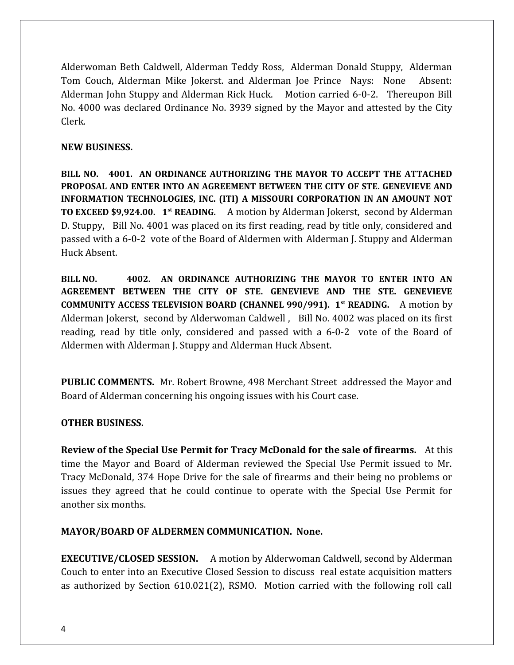Alderwoman Beth Caldwell, Alderman Teddy Ross, Alderman Donald Stuppy, Alderman Tom Couch, Alderman Mike Jokerst. and Alderman Joe Prince Nays: None Absent: Alderman John Stuppy and Alderman Rick Huck. Motion carried 6-0-2. Thereupon Bill No. 4000 was declared Ordinance No. 3939 signed by the Mayor and attested by the City Clerk.

### **NEW BUSINESS.**

**BILL NO. 4001. AN ORDINANCE AUTHORIZING THE MAYOR TO ACCEPT THE ATTACHED PROPOSAL AND ENTER INTO AN AGREEMENT BETWEEN THE CITY OF STE. GENEVIEVE AND INFORMATION TECHNOLOGIES, INC. (ITI) A MISSOURI CORPORATION IN AN AMOUNT NOT TO EXCEED \$9,924.00. 1st READING.** A motion by Alderman Jokerst, second by Alderman D. Stuppy, Bill No. 4001 was placed on its first reading, read by title only, considered and passed with a 6-0-2 vote of the Board of Aldermen with Alderman J. Stuppy and Alderman Huck Absent.

**BILL NO. 4002. AN ORDINANCE AUTHORIZING THE MAYOR TO ENTER INTO AN AGREEMENT BETWEEN THE CITY OF STE. GENEVIEVE AND THE STE. GENEVIEVE COMMUNITY ACCESS TELEVISION BOARD (CHANNEL 990/991). 1st READING.** A motion by Alderman Jokerst, second by Alderwoman Caldwell , Bill No. 4002 was placed on its first reading, read by title only, considered and passed with a 6-0-2 vote of the Board of Aldermen with Alderman J. Stuppy and Alderman Huck Absent.

**PUBLIC COMMENTS.** Mr. Robert Browne, 498 Merchant Street addressed the Mayor and Board of Alderman concerning his ongoing issues with his Court case.

#### **OTHER BUSINESS.**

**Review of the Special Use Permit for Tracy McDonald for the sale of firearms.** At this time the Mayor and Board of Alderman reviewed the Special Use Permit issued to Mr. Tracy McDonald, 374 Hope Drive for the sale of firearms and their being no problems or issues they agreed that he could continue to operate with the Special Use Permit for another six months.

## **MAYOR/BOARD OF ALDERMEN COMMUNICATION. None.**

**EXECUTIVE/CLOSED SESSION.** A motion by Alderwoman Caldwell, second by Alderman Couch to enter into an Executive Closed Session to discuss real estate acquisition matters as authorized by Section 610.021(2), RSMO. Motion carried with the following roll call